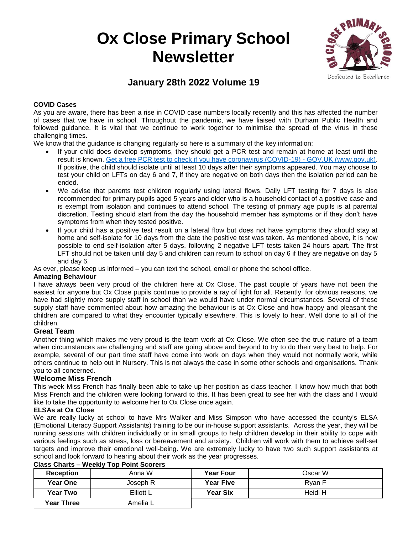# **Ox Close Primary School Newsletter**



## **January 28th 2022 Volume 19**

#### **COVID Cases**

As you are aware, there has been a rise in COVID case numbers locally recently and this has affected the number of cases that we have in school. Throughout the pandemic, we have liaised with Durham Public Health and followed guidance. It is vital that we continue to work together to minimise the spread of the virus in these challenging times.

We know that the guidance is changing regularly so here is a summary of the key information:

- If your child does develop symptoms, they should get a PCR test and remain at home at least until the result is known. [Get a free PCR test to check if you have coronavirus \(COVID-19\) -](https://www.gov.uk/get-coronavirus-test) GOV.UK (www.gov.uk). If positive, the child should isolate until at least 10 days after their symptoms appeared. You may choose to test your child on LFTs on day 6 and 7, if they are negative on both days then the isolation period can be ended.
- We advise that parents test children regularly using lateral flows. Daily LFT testing for 7 days is also recommended for primary pupils aged 5 years and older who is a household contact of a positive case and is exempt from isolation and continues to attend school. The testing of primary age pupils is at parental discretion. Testing should start from the day the household member has symptoms or if they don't have symptoms from when they tested positive.
- If your child has a positive test result on a lateral flow but does not have symptoms they should stay at home and self-isolate for 10 days from the date the positive test was taken. As mentioned above, it is now possible to end self-isolation after 5 days, following 2 negative LFT tests taken 24 hours apart. The first LFT should not be taken until day 5 and children can return to school on day 6 if they are negative on day 5 and day 6.

As ever, please keep us informed – you can text the school, email or phone the school office.

#### **Amazing Behaviour**

I have always been very proud of the children here at Ox Close. The past couple of years have not been the easiest for anyone but Ox Close pupils continue to provide a ray of light for all. Recently, for obvious reasons, we have had slightly more supply staff in school than we would have under normal circumstances. Several of these supply staff have commented about how amazing the behaviour is at Ox Close and how happy and pleasant the children are compared to what they encounter typically elsewhere. This is lovely to hear. Well done to all of the children.

#### **Great Team**

Another thing which makes me very proud is the team work at Ox Close. We often see the true nature of a team when circumstances are challenging and staff are going above and beyond to try to do their very best to help. For example, several of our part time staff have come into work on days when they would not normally work, while others continue to help out in Nursery. This is not always the case in some other schools and organisations. Thank you to all concerned.

#### **Welcome Miss French**

This week Miss French has finally been able to take up her position as class teacher. I know how much that both Miss French and the children were looking forward to this. It has been great to see her with the class and I would like to take the opportunity to welcome her to Ox Close once again.

#### **ELSAs at Ox Close**

We are really lucky at school to have Mrs Walker and Miss Simpson who have accessed the county's ELSA (Emotional Literacy Support Assistants) training to be our in-house support assistants. Across the year, they will be running sessions with children individually or in small groups to help children develop in their ability to cope with various feelings such as stress, loss or bereavement and anxiety. Children will work with them to achieve self-set targets and improve their emotional well-being. We are extremely lucky to have two such support assistants at school and look forward to hearing about their work as the year progresses.

| <b>Reception</b>  | Anna W    | <b>Year Four</b> | Oscar W |
|-------------------|-----------|------------------|---------|
| Year One          | Joseph R  | <b>Year Five</b> | Rvan F  |
| <b>Year Two</b>   | Elliott L | <b>Year Six</b>  | Heidi H |
| <b>Year Three</b> | Amelia L  |                  |         |

### **Class Charts – Weekly Top Point Scorers**